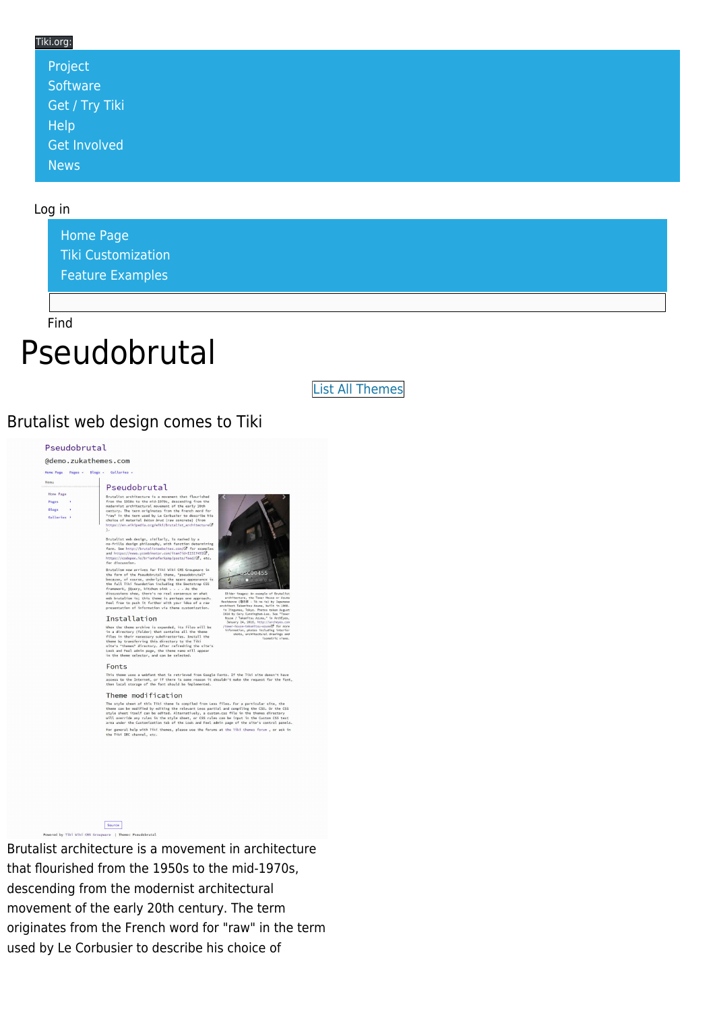### Tiki.org:

| Project             |  |  |  |
|---------------------|--|--|--|
| Software            |  |  |  |
| Get / Try Tiki      |  |  |  |
| Help                |  |  |  |
| <b>Get Involved</b> |  |  |  |
| <b>News</b>         |  |  |  |

### Log in

[Home Page](https://themes.tiki.org/Themes) [Tiki Customization](https://themes.tiki.org/Tiki-Customization) [Feature Examples](#page--1-0)

Find

## Pseudobrutal

[List All Themes](https://themes.tiki.org/marketplace%20themes)

### Brutalist web design comes to Tiki

#### Pseudobrutal

@demo.zukathemes.com one Page Pages - Blogs -

Home Page Pages<br>Blogs

Galleries

#### Pseudobrutal Brutalist architecture is a nove<br>from the 1950s to the mid-1970s,

ctural movemen<br>originates fr<br>used by Le Co<br>l *beton brut* (



As the , juury, kitchen si<br>ns show, there's no<br>lism is; this theme<br>to push it further<br>ion of information nsensus on what<br>aps one approach<br>ur idea of a raw

#### Installation

Mhen the thems archive is expanded, its files will be in a directory (folder) that is made files of the steps of the steps of the step of the step of the step of the step of the step of the step of the step of the step of

#### Fonts

This theme uses a webfont that is retrieved from Google Fonts. If the Tiki site doesn't have<br>access to the Internet, or if there is some reason it shouldn't make the request for the font<br>then local storage of the font shou

#### Theme modification

I I LETILE INTOLI I I LCTLI I CHI I ANNO 1001 I ALL AND THE STATE OF THE STATE OF THE STATE OF THE STATE OF THE STATE OF THE STATE STATE STATE STATE STATE STATE STATE STATE STATE STATE STATE STATE STATE STATE STATE STATE S For general help with Tiki thenes, please use the foruns at the Tiki thenes forum , or ask in<br>the Tiki IRC channel, etc.



Brutalist architecture is a movement in architecture that flourished from the 1950s to the mid-1970s, descending from the modernist architectural movement of the early 20th century. The term originates from the French word for "raw" in the term used by Le Corbusier to describe his choice of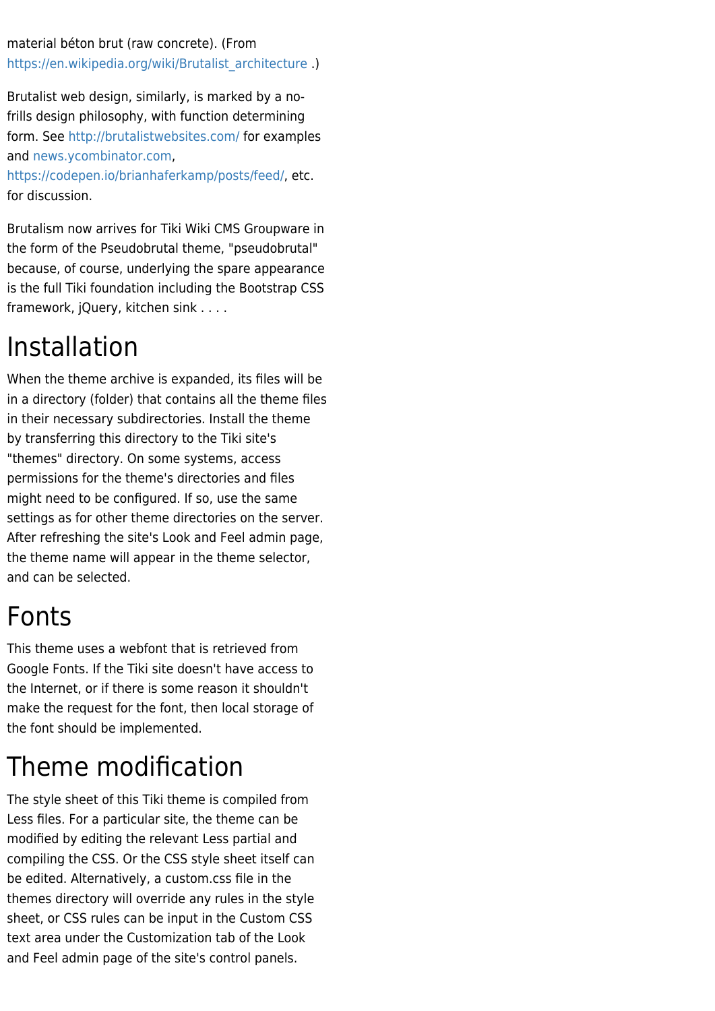material béton brut (raw concrete). (From [https://en.wikipedia.org/wiki/Brutalist\\_architecture](https://en.wikipedia.org/wiki/Brutalist_architecture) .)

Brutalist web design, similarly, is marked by a nofrills design philosophy, with function determining form. See <http://brutalistwebsites.com/>for examples and [news.ycombinator.com,](https://news.ycombinator.com/item?id=11517491)

[https://codepen.io/brianhaferkamp/posts/feed/,](https://codepen.io/brianhaferkamp/posts/feed/) etc. for discussion.

Brutalism now arrives for Tiki Wiki CMS Groupware in the form of the Pseudobrutal theme, "pseudobrutal" because, of course, underlying the spare appearance is the full Tiki foundation including the Bootstrap CSS framework, jQuery, kitchen sink . . . .

# Installation

When the theme archive is expanded, its files will be in a directory (folder) that contains all the theme files in their necessary subdirectories. Install the theme by transferring this directory to the Tiki site's "themes" directory. On some systems, access permissions for the theme's directories and files might need to be configured. If so, use the same settings as for other theme directories on the server. After refreshing the site's Look and Feel admin page, the theme name will appear in the theme selector, and can be selected.

## Fonts

This theme uses a webfont that is retrieved from Google Fonts. If the Tiki site doesn't have access to the Internet, or if there is some reason it shouldn't make the request for the font, then local storage of the font should be implemented.

# Theme modification

The style sheet of this Tiki theme is compiled from Less files. For a particular site, the theme can be modified by editing the relevant Less partial and compiling the CSS. Or the CSS style sheet itself can be edited. Alternatively, a custom.css file in the themes directory will override any rules in the style sheet, or CSS rules can be input in the Custom CSS text area under the Customization tab of the Look and Feel admin page of the site's control panels.